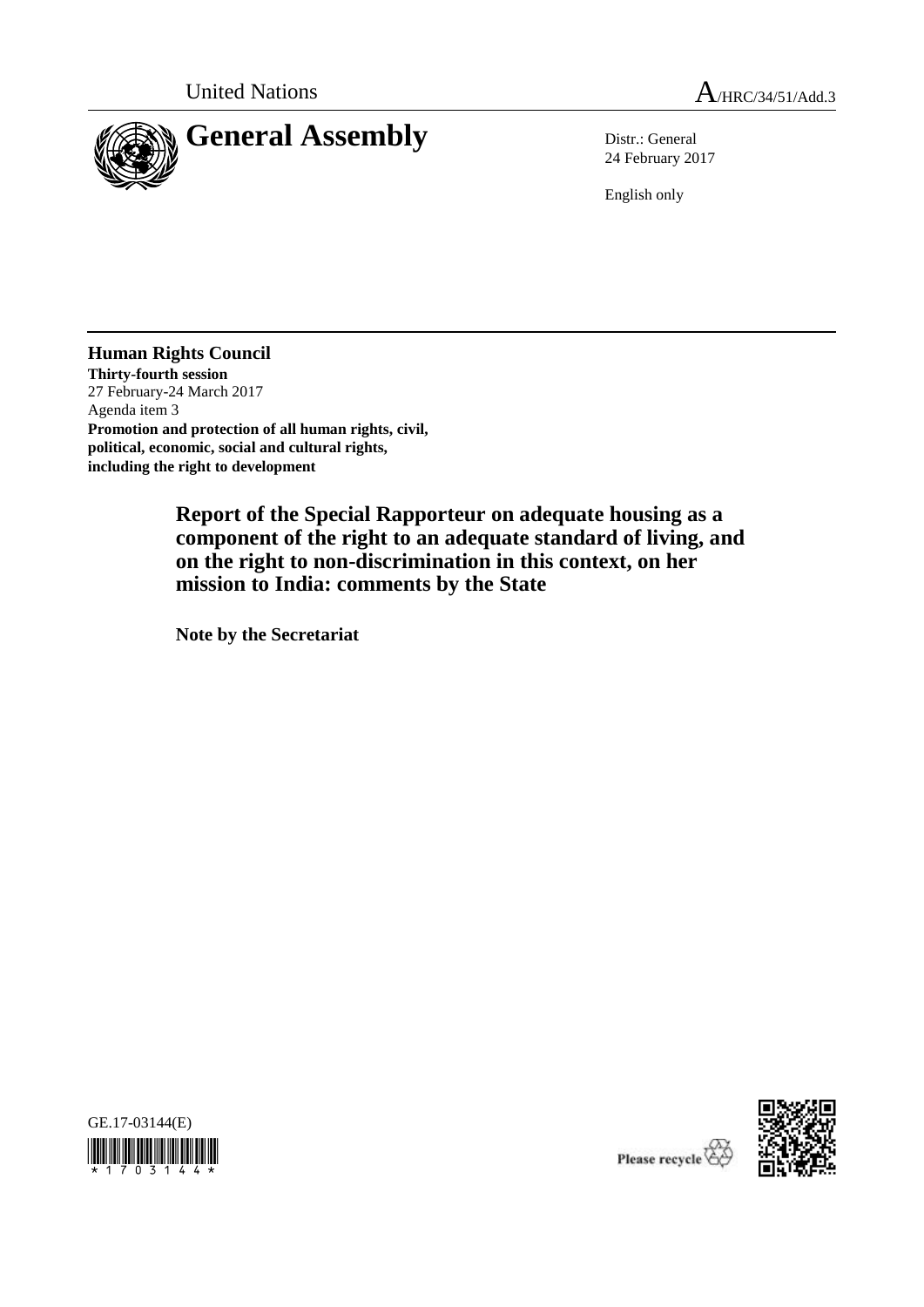

24 February 2017

English only

**Human Rights Council Thirty-fourth session** 27 February-24 March 2017 Agenda item 3 **Promotion and protection of all human rights, civil, political, economic, social and cultural rights, including the right to development**

> **Report of the Special Rapporteur on adequate housing as a component of the right to an adequate standard of living, and on the right to non-discrimination in this context, on her mission to India: comments by the State**

**Note by the Secretariat**



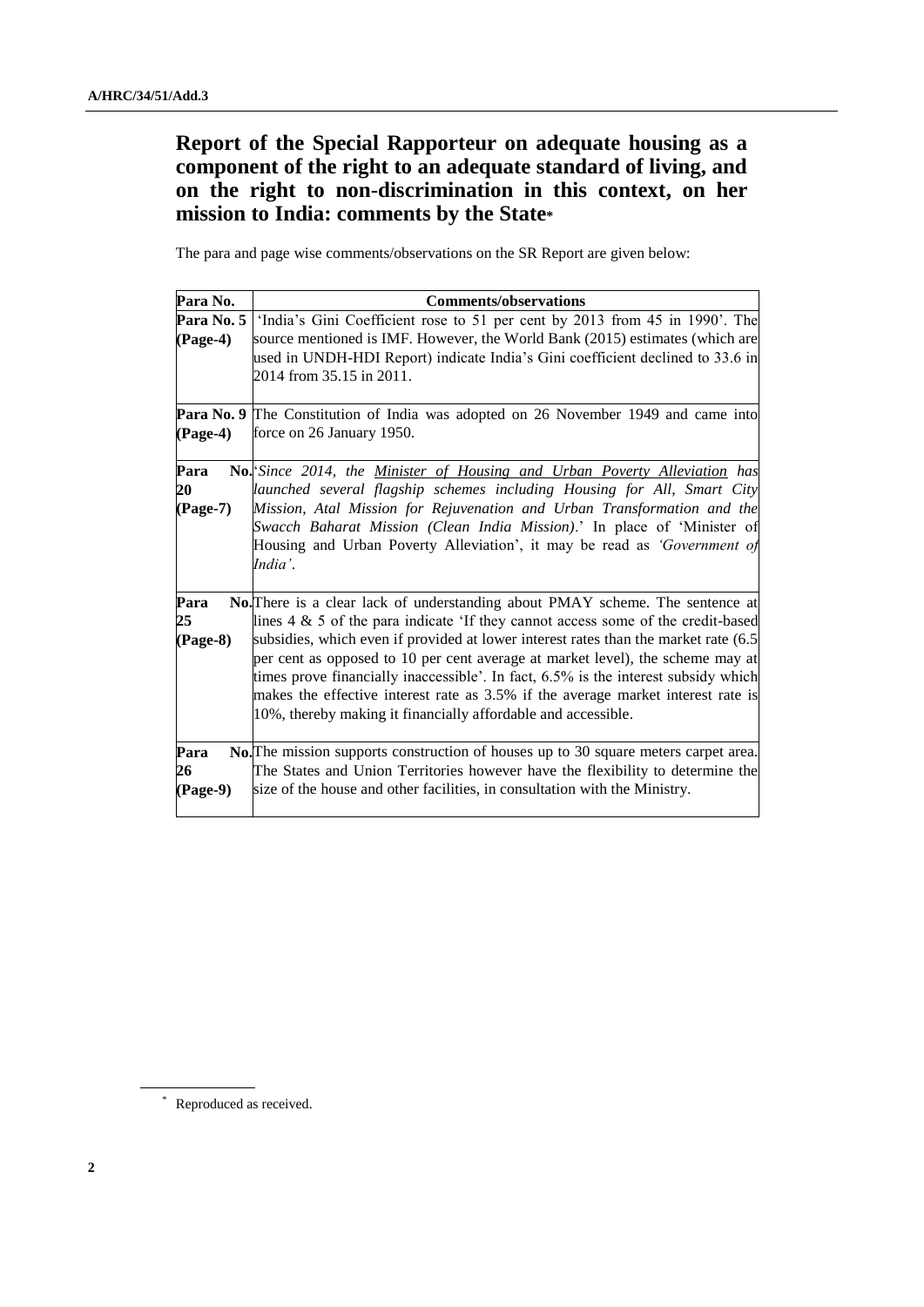## **Report of the Special Rapporteur on adequate housing as a component of the right to an adequate standard of living, and on the right to non-discrimination in this context, on her mission to India: comments by the State\***

The para and page wise comments/observations on the SR Report are given below:

| Para No.               | <b>Comments/observations</b>                                                                                                                                                                                                                                                                                                                                                                                                                                                                                                                                                              |
|------------------------|-------------------------------------------------------------------------------------------------------------------------------------------------------------------------------------------------------------------------------------------------------------------------------------------------------------------------------------------------------------------------------------------------------------------------------------------------------------------------------------------------------------------------------------------------------------------------------------------|
| Para No. 5<br>(Page-4) | 'India's Gini Coefficient rose to 51 per cent by 2013 from 45 in 1990'. The<br>source mentioned is IMF. However, the World Bank (2015) estimates (which are<br>used in UNDH-HDI Report) indicate India's Gini coefficient declined to 33.6 in<br>2014 from 35.15 in 2011.                                                                                                                                                                                                                                                                                                                 |
| $(Page-4)$             | <b>Para No. 9</b> The Constitution of India was adopted on 26 November 1949 and came into<br>force on 26 January 1950.                                                                                                                                                                                                                                                                                                                                                                                                                                                                    |
| Para<br>20<br>(Page-7) | No. Since 2014, the <u>Minister of Housing and Urban Poverty Alleviation</u> has<br>launched several flagship schemes including Housing for All, Smart City<br>Mission, Atal Mission for Rejuvenation and Urban Transformation and the<br>Swacch Baharat Mission (Clean India Mission).' In place of 'Minister of<br>Housing and Urban Poverty Alleviation', it may be read as 'Government of<br>India'.                                                                                                                                                                                  |
| Para<br>25<br>(Page-8) | No. There is a clear lack of understanding about PMAY scheme. The sentence at<br>lines $4 \& 5$ of the para indicate 'If they cannot access some of the credit-based<br>subsidies, which even if provided at lower interest rates than the market rate (6.5)<br>per cent as opposed to 10 per cent average at market level), the scheme may at<br>times prove financially inaccessible'. In fact, 6.5% is the interest subsidy which<br>makes the effective interest rate as 3.5% if the average market interest rate is<br>10%, thereby making it financially affordable and accessible. |
| Para<br>26<br>(Page-9) | No. The mission supports construction of houses up to 30 square meters carpet area.<br>The States and Union Territories however have the flexibility to determine the<br>size of the house and other facilities, in consultation with the Ministry.                                                                                                                                                                                                                                                                                                                                       |

\* Reproduced as received.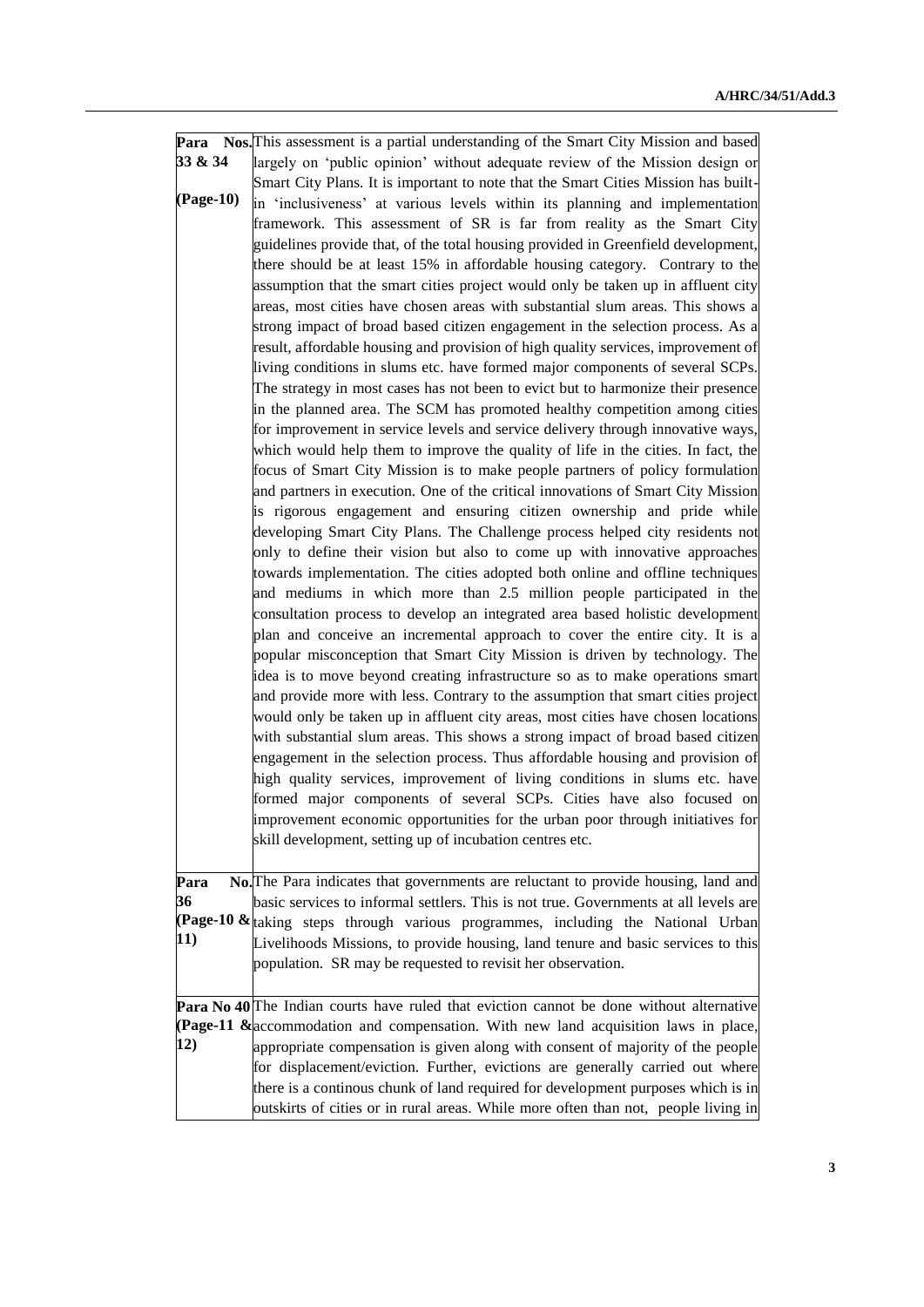|           | <b>Para</b> Nos. This assessment is a partial understanding of the Smart City Mission and based |
|-----------|-------------------------------------------------------------------------------------------------|
| 33 & 34   | largely on 'public opinion' without adequate review of the Mission design or                    |
|           | Smart City Plans. It is important to note that the Smart Cities Mission has built-              |
| (Page-10) | in 'inclusiveness' at various levels within its planning and implementation                     |
|           | framework. This assessment of SR is far from reality as the Smart City                          |
|           | guidelines provide that, of the total housing provided in Greenfield development,               |
|           | there should be at least 15% in affordable housing category. Contrary to the                    |
|           | assumption that the smart cities project would only be taken up in affluent city                |
|           | areas, most cities have chosen areas with substantial slum areas. This shows a                  |
|           | strong impact of broad based citizen engagement in the selection process. As a                  |
|           | result, affordable housing and provision of high quality services, improvement of               |
|           |                                                                                                 |
|           | living conditions in slums etc. have formed major components of several SCPs.                   |
|           | The strategy in most cases has not been to evict but to harmonize their presence                |
|           | in the planned area. The SCM has promoted healthy competition among cities                      |
|           | for improvement in service levels and service delivery through innovative ways,                 |
|           | which would help them to improve the quality of life in the cities. In fact, the                |
|           | focus of Smart City Mission is to make people partners of policy formulation                    |
|           | and partners in execution. One of the critical innovations of Smart City Mission                |
|           | is rigorous engagement and ensuring citizen ownership and pride while                           |
|           | developing Smart City Plans. The Challenge process helped city residents not                    |
|           | only to define their vision but also to come up with innovative approaches                      |
|           | towards implementation. The cities adopted both online and offline techniques                   |
|           | and mediums in which more than 2.5 million people participated in the                           |
|           | consultation process to develop an integrated area based holistic development                   |
|           | plan and conceive an incremental approach to cover the entire city. It is a                     |
|           | popular misconception that Smart City Mission is driven by technology. The                      |
|           | idea is to move beyond creating infrastructure so as to make operations smart                   |
|           | and provide more with less. Contrary to the assumption that smart cities project                |
|           | would only be taken up in affluent city areas, most cities have chosen locations                |
|           | with substantial slum areas. This shows a strong impact of broad based citizen                  |
|           | engagement in the selection process. Thus affordable housing and provision of                   |
|           | high quality services, improvement of living conditions in slums etc. have                      |
|           | formed major components of several SCPs. Cities have also focused on                            |
|           | improvement economic opportunities for the urban poor through initiatives for                   |
|           | skill development, setting up of incubation centres etc.                                        |
|           |                                                                                                 |
| Para      | No. The Para indicates that governments are reluctant to provide housing, land and              |
| 36        | basic services to informal settlers. This is not true. Governments at all levels are            |
|           | <b>(Page-10 &amp;</b> taking steps through various programmes, including the National Urban     |
| 11)       | Livelihoods Missions, to provide housing, land tenure and basic services to this                |
|           | population. SR may be requested to revisit her observation.                                     |
|           |                                                                                                 |
|           | <b>Para No 40</b> The Indian courts have ruled that eviction cannot be done without alternative |
|           | (Page-11 & accommodation and compensation. With new land acquisition laws in place,             |
| 12)       | appropriate compensation is given along with consent of majority of the people                  |
|           |                                                                                                 |
|           | for displacement/eviction. Further, evictions are generally carried out where                   |
|           | there is a continous chunk of land required for development purposes which is in                |
|           | outskirts of cities or in rural areas. While more often than not, people living in              |